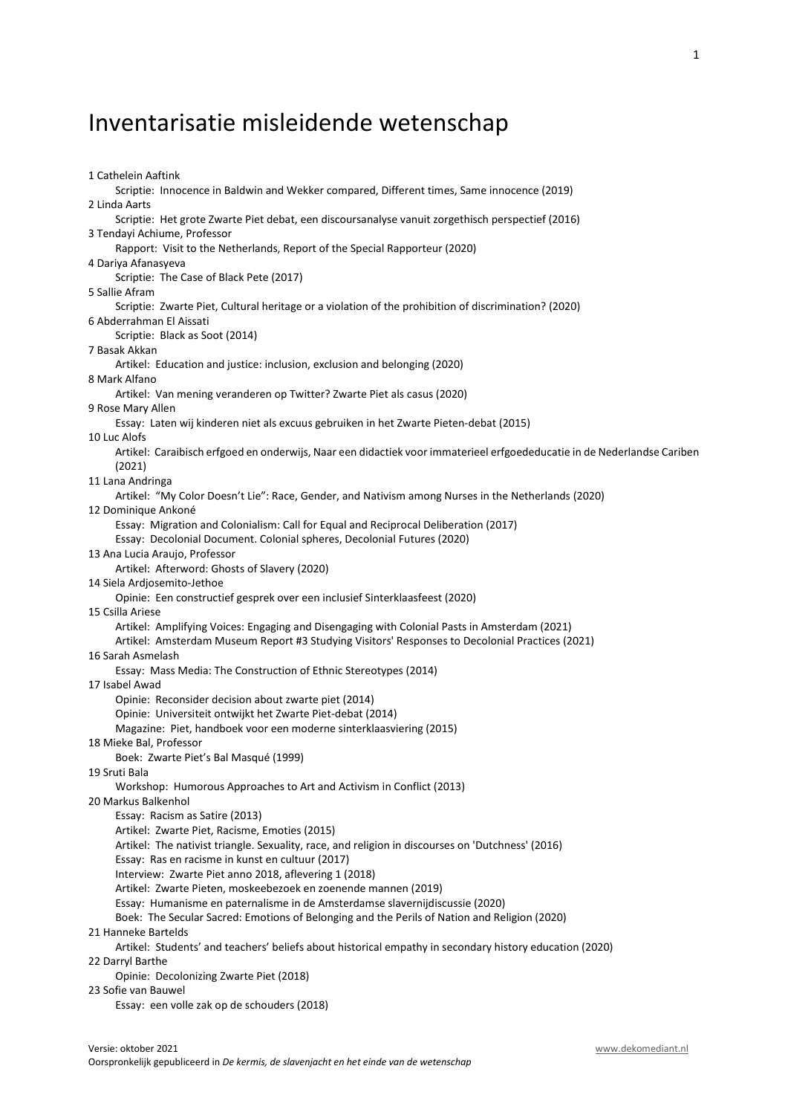# Inventarisatie misleidende wetenschap

1 Cathelein Aaftink Scriptie: Innocence in Baldwin and Wekker compared, Different times, Same innocence (2019) 2 Linda Aarts Scriptie: Het grote Zwarte Piet debat, een discoursanalyse vanuit zorgethisch perspectief (2016) 3 Tendayi Achiume, Professor Rapport: Visit to the Netherlands, Report of the Special Rapporteur (2020) 4 Dariya Afanasyeva Scriptie: The Case of Black Pete (2017) 5 Sallie Afram Scriptie: Zwarte Piet, Cultural heritage or a violation of the prohibition of discrimination? (2020) 6 Abderrahman El Aissati Scriptie: Black as Soot (2014) 7 Basak Akkan Artikel: Education and justice: inclusion, exclusion and belonging (2020) 8 Mark Alfano Artikel: Van mening veranderen op Twitter? Zwarte Piet als casus (2020) 9 Rose Mary Allen Essay: Laten wij kinderen niet als excuus gebruiken in het Zwarte Pieten-debat (2015) 10 Luc Alofs Artikel: Caraibisch erfgoed en onderwijs, Naar een didactiek voor immaterieel erfgoededucatie in de Nederlandse Cariben (2021) 11 Lana Andringa Artikel: "My Color Doesn't Lie": Race, Gender, and Nativism among Nurses in the Netherlands (2020) 12 Dominique Ankoné Essay: Migration and Colonialism: Call for Equal and Reciprocal Deliberation (2017) Essay: Decolonial Document. Colonial spheres, Decolonial Futures (2020) 13 Ana Lucia Araujo, Professor Artikel: Afterword: Ghosts of Slavery (2020) 14 Siela Ardjosemito-Jethoe Opinie: Een constructief gesprek over een inclusief Sinterklaasfeest (2020) 15 Csilla Ariese Artikel: Amplifying Voices: Engaging and Disengaging with Colonial Pasts in Amsterdam (2021) Artikel: Amsterdam Museum Report #3 Studying Visitors' Responses to Decolonial Practices (2021) 16 Sarah Asmelash Essay: Mass Media: The Construction of Ethnic Stereotypes (2014) 17 Isabel Awad Opinie: Reconsider decision about zwarte piet (2014) Opinie: Universiteit ontwijkt het Zwarte Piet-debat (2014) Magazine: Piet, handboek voor een moderne sinterklaasviering (2015) 18 Mieke Bal, Professor Boek: Zwarte Piet's Bal Masqué (1999) 19 Sruti Bala Workshop: Humorous Approaches to Art and Activism in Conflict (2013) 20 Markus Balkenhol Essay: Racism as Satire (2013) Artikel: Zwarte Piet, Racisme, Emoties (2015) Artikel: The nativist triangle. Sexuality, race, and religion in discourses on 'Dutchness' (2016) Essay: Ras en racisme in kunst en cultuur (2017) Interview: Zwarte Piet anno 2018, aflevering 1 (2018) Artikel: Zwarte Pieten, moskeebezoek en zoenende mannen (2019) Essay: Humanisme en paternalisme in de Amsterdamse slavernijdiscussie (2020) Boek: The Secular Sacred: Emotions of Belonging and the Perils of Nation and Religion (2020) 21 Hanneke Bartelds Artikel: Students' and teachers' beliefs about historical empathy in secondary history education (2020) 22 Darryl Barthe Opinie: Decolonizing Zwarte Piet (2018) 23 Sofie van Bauwel Essay: een volle zak op de schouders (2018)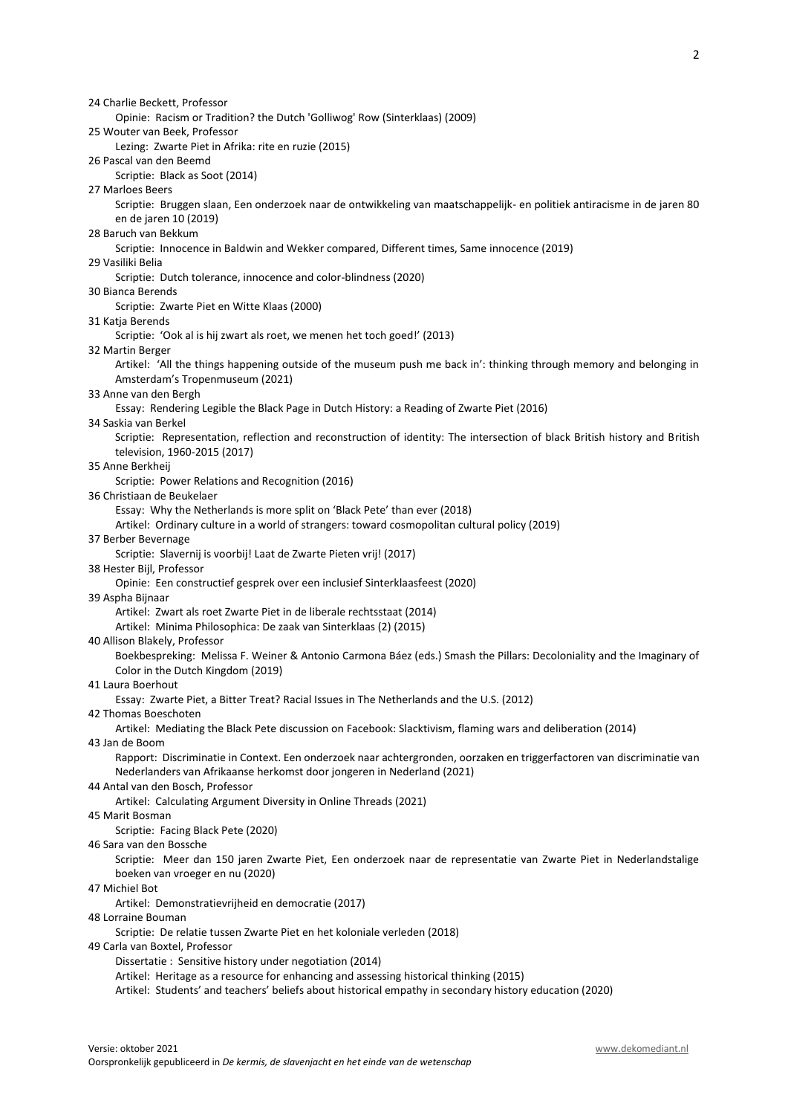24 Charlie Beckett, Professor Opinie: Racism or Tradition? the Dutch 'Golliwog' Row (Sinterklaas) (2009) 25 Wouter van Beek, Professor Lezing: Zwarte Piet in Afrika: rite en ruzie (2015) 26 Pascal van den Beemd Scriptie: Black as Soot (2014) 27 Marloes Beers Scriptie: Bruggen slaan, Een onderzoek naar de ontwikkeling van maatschappelijk- en politiek antiracisme in de jaren 80 en de jaren 10 (2019) 28 Baruch van Bekkum Scriptie: Innocence in Baldwin and Wekker compared, Different times, Same innocence (2019) 29 Vasiliki Belia Scriptie: Dutch tolerance, innocence and color-blindness (2020) 30 Bianca Berends Scriptie: Zwarte Piet en Witte Klaas (2000) 31 Katja Berends Scriptie: 'Ook al is hij zwart als roet, we menen het toch goed!' (2013) 32 Martin Berger Artikel: 'All the things happening outside of the museum push me back in': thinking through memory and belonging in Amsterdam's Tropenmuseum (2021) 33 Anne van den Bergh Essay: Rendering Legible the Black Page in Dutch History: a Reading of Zwarte Piet (2016) 34 Saskia van Berkel Scriptie: Representation, reflection and reconstruction of identity: The intersection of black British history and British television, 1960-2015 (2017) 35 Anne Berkheij Scriptie: Power Relations and Recognition (2016) 36 Christiaan de Beukelaer Essay: Why the Netherlands is more split on 'Black Pete' than ever (2018) Artikel: Ordinary culture in a world of strangers: toward cosmopolitan cultural policy (2019) 37 Berber Bevernage Scriptie: Slavernij is voorbij! Laat de Zwarte Pieten vrij! (2017) 38 Hester Bijl, Professor Opinie: Een constructief gesprek over een inclusief Sinterklaasfeest (2020) 39 Aspha Bijnaar Artikel: Zwart als roet Zwarte Piet in de liberale rechtsstaat (2014) Artikel: Minima Philosophica: De zaak van Sinterklaas (2) (2015) 40 Allison Blakely, Professor Boekbespreking: Melissa F. Weiner & Antonio Carmona Báez (eds.) Smash the Pillars: Decoloniality and the Imaginary of Color in the Dutch Kingdom (2019) 41 Laura Boerhout Essay: Zwarte Piet, a Bitter Treat? Racial Issues in The Netherlands and the U.S. (2012) 42 Thomas Boeschoten Artikel: Mediating the Black Pete discussion on Facebook: Slacktivism, flaming wars and deliberation (2014) 43 Jan de Boom Rapport: Discriminatie in Context. Een onderzoek naar achtergronden, oorzaken en triggerfactoren van discriminatie van Nederlanders van Afrikaanse herkomst door jongeren in Nederland (2021) 44 Antal van den Bosch, Professor Artikel: Calculating Argument Diversity in Online Threads (2021) 45 Marit Bosman Scriptie: Facing Black Pete (2020) 46 Sara van den Bossche Scriptie: Meer dan 150 jaren Zwarte Piet, Een onderzoek naar de representatie van Zwarte Piet in Nederlandstalige boeken van vroeger en nu (2020) 47 Michiel Bot Artikel: Demonstratievrijheid en democratie (2017) 48 Lorraine Bouman Scriptie: De relatie tussen Zwarte Piet en het koloniale verleden (2018) 49 Carla van Boxtel, Professor Dissertatie : Sensitive history under negotiation (2014) Artikel: Heritage as a resource for enhancing and assessing historical thinking (2015) Artikel: Students' and teachers' beliefs about historical empathy in secondary history education (2020)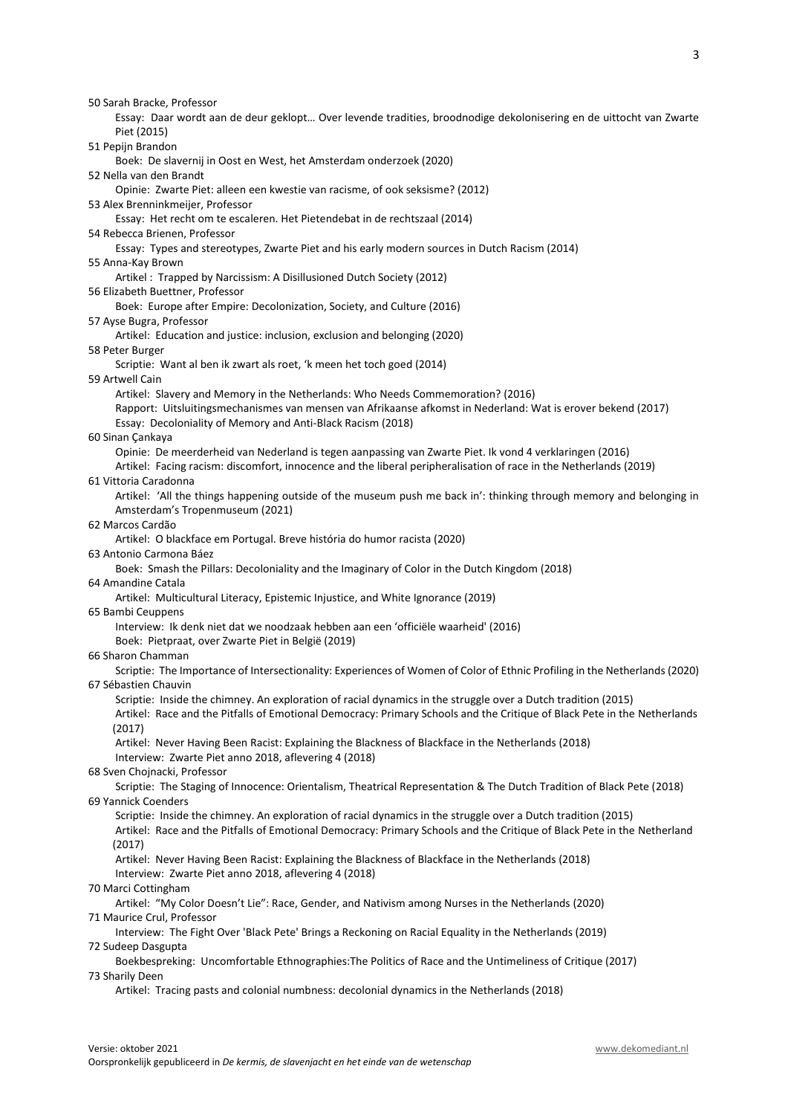50 Sarah Bracke, Professor Essay: Daar wordt aan de deur geklopt… Over levende tradities, broodnodige dekolonisering en de uittocht van Zwarte Piet (2015) 51 Pepijn Brandon Boek: De slavernij in Oost en West, het Amsterdam onderzoek (2020) 52 Nella van den Brandt Opinie: Zwarte Piet: alleen een kwestie van racisme, of ook seksisme? (2012) 53 Alex Brenninkmeijer, Professor Essay: Het recht om te escaleren. Het Pietendebat in de rechtszaal (2014) 54 Rebecca Brienen, Professor Essay: Types and stereotypes, Zwarte Piet and his early modern sources in Dutch Racism (2014) 55 Anna-Kay Brown Artikel : Trapped by Narcissism: A Disillusioned Dutch Society (2012) 56 Elizabeth Buettner, Professor Boek: Europe after Empire: Decolonization, Society, and Culture (2016) 57 Ayse Bugra, Professor Artikel: Education and justice: inclusion, exclusion and belonging (2020) 58 Peter Burger Scriptie: Want al ben ik zwart als roet, 'k meen het toch goed (2014) 59 Artwell Cain Artikel: Slavery and Memory in the Netherlands: Who Needs Commemoration? (2016) Rapport: Uitsluitingsmechanismes van mensen van Afrikaanse afkomst in Nederland: Wat is erover bekend (2017) Essay: Decoloniality of Memory and Anti-Black Racism (2018) 60 Sinan Çankaya Opinie: De meerderheid van Nederland is tegen aanpassing van Zwarte Piet. Ik vond 4 verklaringen (2016) Artikel: Facing racism: discomfort, innocence and the liberal peripheralisation of race in the Netherlands (2019) 61 Vittoria Caradonna Artikel: 'All the things happening outside of the museum push me back in': thinking through memory and belonging in Amsterdam's Tropenmuseum (2021) 62 Marcos Cardão Artikel: O blackface em Portugal. Breve história do humor racista (2020) 63 Antonio Carmona Báez Boek: Smash the Pillars: Decoloniality and the Imaginary of Color in the Dutch Kingdom (2018) 64 Amandine Catala Artikel: Multicultural Literacy, Epistemic Injustice, and White Ignorance (2019) 65 Bambi Ceuppens Interview: Ik denk niet dat we noodzaak hebben aan een 'officiële waarheid' (2016) Boek: Pietpraat, over Zwarte Piet in België (2019) 66 Sharon Chamman Scriptie: The Importance of Intersectionality: Experiences of Women of Color of Ethnic Profiling in the Netherlands (2020) 67 Sébastien Chauvin Scriptie: Inside the chimney. An exploration of racial dynamics in the struggle over a Dutch tradition (2015) Artikel: Race and the Pitfalls of Emotional Democracy: Primary Schools and the Critique of Black Pete in the Netherlands (2017) Artikel: Never Having Been Racist: Explaining the Blackness of Blackface in the Netherlands (2018) Interview: Zwarte Piet anno 2018, aflevering 4 (2018) 68 Sven Chojnacki, Professor Scriptie: The Staging of Innocence: Orientalism, Theatrical Representation & The Dutch Tradition of Black Pete (2018) 69 Yannick Coenders Scriptie: Inside the chimney. An exploration of racial dynamics in the struggle over a Dutch tradition (2015) Artikel: Race and the Pitfalls of Emotional Democracy: Primary Schools and the Critique of Black Pete in the Netherland (2017) Artikel: Never Having Been Racist: Explaining the Blackness of Blackface in the Netherlands (2018) Interview: Zwarte Piet anno 2018, aflevering 4 (2018) 70 Marci Cottingham Artikel: "My Color Doesn't Lie": Race, Gender, and Nativism among Nurses in the Netherlands (2020) 71 Maurice Crul, Professor Interview: The Fight Over 'Black Pete' Brings a Reckoning on Racial Equality in the Netherlands (2019) 72 Sudeep Dasgupta Boekbespreking: Uncomfortable Ethnographies:The Politics of Race and the Untimeliness of Critique (2017) 73 Sharily Deen Artikel: Tracing pasts and colonial numbness: decolonial dynamics in the Netherlands (2018)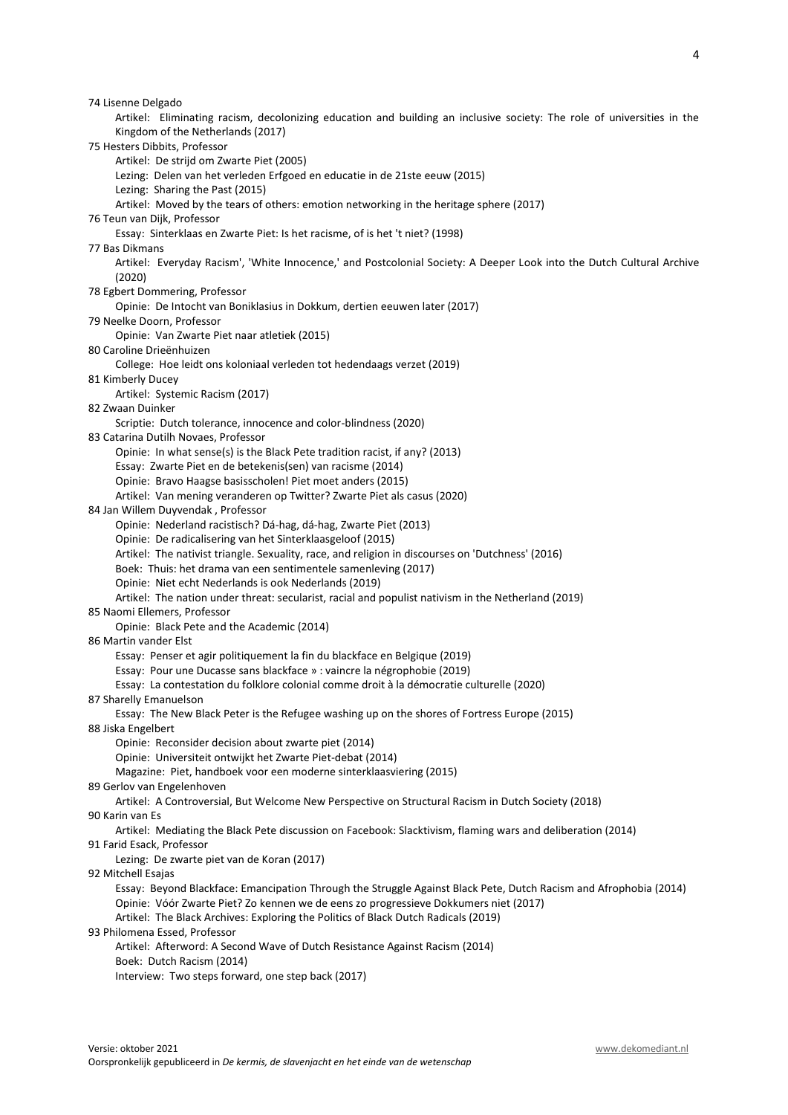| 74 Lisenne Delgado                                                                                                     |
|------------------------------------------------------------------------------------------------------------------------|
| Artikel: Eliminating racism, decolonizing education and building an inclusive society: The role of universities in the |
| Kingdom of the Netherlands (2017)                                                                                      |
| 75 Hesters Dibbits, Professor                                                                                          |
| Artikel: De strijd om Zwarte Piet (2005)                                                                               |
| Lezing: Delen van het verleden Erfgoed en educatie in de 21ste eeuw (2015)                                             |
| Lezing: Sharing the Past (2015)                                                                                        |
| Artikel: Moved by the tears of others: emotion networking in the heritage sphere (2017)                                |
| 76 Teun van Dijk, Professor                                                                                            |
| Essay: Sinterklaas en Zwarte Piet: Is het racisme, of is het 't niet? (1998)                                           |
| 77 Bas Dikmans                                                                                                         |
| Artikel: Everyday Racism', 'White Innocence,' and Postcolonial Society: A Deeper Look into the Dutch Cultural Archive  |
| (2020)                                                                                                                 |
| 78 Egbert Dommering, Professor                                                                                         |
| Opinie: De Intocht van Boniklasius in Dokkum, dertien eeuwen later (2017)                                              |
| 79 Neelke Doorn, Professor                                                                                             |
| Opinie: Van Zwarte Piet naar atletiek (2015)<br>80 Caroline Drieënhuizen                                               |
| College: Hoe leidt ons koloniaal verleden tot hedendaags verzet (2019)                                                 |
| 81 Kimberly Ducey                                                                                                      |
| Artikel: Systemic Racism (2017)                                                                                        |
| 82 Zwaan Duinker                                                                                                       |
| Scriptie: Dutch tolerance, innocence and color-blindness (2020)                                                        |
| 83 Catarina Dutilh Novaes, Professor                                                                                   |
| Opinie: In what sense(s) is the Black Pete tradition racist, if any? (2013)                                            |
| Essay: Zwarte Piet en de betekenis(sen) van racisme (2014)                                                             |
| Opinie: Bravo Haagse basisscholen! Piet moet anders (2015)                                                             |
| Artikel: Van mening veranderen op Twitter? Zwarte Piet als casus (2020)                                                |
| 84 Jan Willem Duyvendak, Professor                                                                                     |
| Opinie: Nederland racistisch? Dá-hag, dá-hag, Zwarte Piet (2013)                                                       |
| Opinie: De radicalisering van het Sinterklaasgeloof (2015)                                                             |
| Artikel: The nativist triangle. Sexuality, race, and religion in discourses on 'Dutchness' (2016)                      |
| Boek: Thuis: het drama van een sentimentele samenleving (2017)                                                         |
| Opinie: Niet echt Nederlands is ook Nederlands (2019)                                                                  |
| Artikel: The nation under threat: secularist, racial and populist nativism in the Netherland (2019)                    |
| 85 Naomi Ellemers, Professor                                                                                           |
| Opinie: Black Pete and the Academic (2014)                                                                             |
| 86 Martin vander Elst                                                                                                  |
| Essay: Penser et agir politiquement la fin du blackface en Belgique (2019)                                             |
| Essay: Pour une Ducasse sans blackface » : vaincre la négrophobie (2019)                                               |
| Essay: La contestation du folklore colonial comme droit à la démocratie culturelle (2020)                              |
| 87 Sharelly Emanuelson                                                                                                 |
| Essay: The New Black Peter is the Refugee washing up on the shores of Fortress Europe (2015)                           |
| 88 Jiska Engelbert                                                                                                     |
| Opinie: Reconsider decision about zwarte piet (2014)                                                                   |
| Opinie: Universiteit ontwijkt het Zwarte Piet-debat (2014)                                                             |
| Magazine: Piet, handboek voor een moderne sinterklaasviering (2015)                                                    |
| 89 Gerlov van Engelenhoven                                                                                             |
| Artikel: A Controversial, But Welcome New Perspective on Structural Racism in Dutch Society (2018)                     |
| 90 Karin van Es                                                                                                        |
| Artikel: Mediating the Black Pete discussion on Facebook: Slacktivism, flaming wars and deliberation (2014)            |
| 91 Farid Esack, Professor                                                                                              |
| Lezing: De zwarte piet van de Koran (2017)                                                                             |
| 92 Mitchell Esajas                                                                                                     |
| Essay: Beyond Blackface: Emancipation Through the Struggle Against Black Pete, Dutch Racism and Afrophobia (2014)      |
| Opinie: Vóór Zwarte Piet? Zo kennen we de eens zo progressieve Dokkumers niet (2017)                                   |
| Artikel: The Black Archives: Exploring the Politics of Black Dutch Radicals (2019)                                     |
| 93 Philomena Essed, Professor                                                                                          |
| Artikel: Afterword: A Second Wave of Dutch Resistance Against Racism (2014)<br>Boek: Dutch Racism (2014)               |
| Interview: Two steps forward, one step back (2017)                                                                     |
|                                                                                                                        |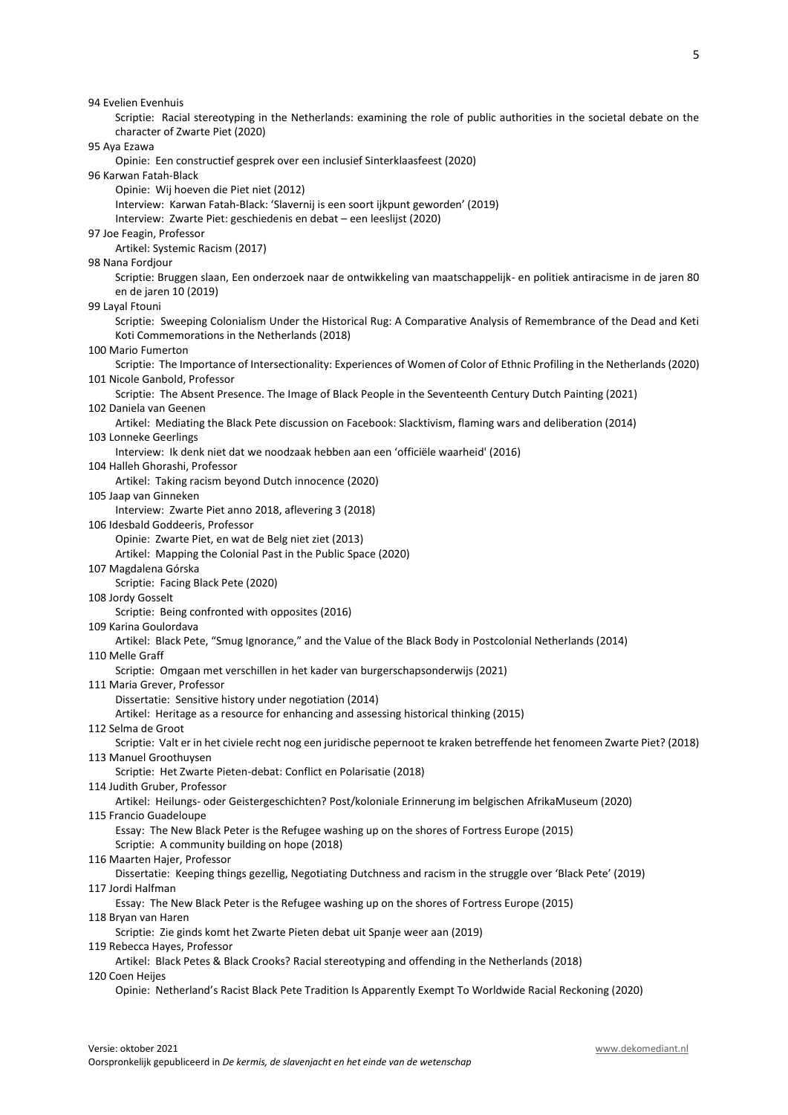Opinie: Een constructief gesprek over een inclusief Sinterklaasfeest (2020) 96 Karwan Fatah-Black Opinie: Wij hoeven die Piet niet (2012) Interview: Karwan Fatah-Black: 'Slavernij is een soort ijkpunt geworden' (2019) Interview: Zwarte Piet: geschiedenis en debat – een leeslijst (2020) 97 Joe Feagin, Professor Artikel: Systemic Racism (2017) 98 Nana Fordjour Scriptie: Bruggen slaan, Een onderzoek naar de ontwikkeling van maatschappelijk- en politiek antiracisme in de jaren 80 en de jaren 10 (2019) 99 Layal Ftouni Scriptie: Sweeping Colonialism Under the Historical Rug: A Comparative Analysis of Remembrance of the Dead and Keti Koti Commemorations in the Netherlands (2018) 100 Mario Fumerton Scriptie: The Importance of Intersectionality: Experiences of Women of Color of Ethnic Profiling in the Netherlands (2020) 101 Nicole Ganbold, Professor Scriptie: The Absent Presence. The Image of Black People in the Seventeenth Century Dutch Painting (2021) 102 Daniela van Geenen Artikel: Mediating the Black Pete discussion on Facebook: Slacktivism, flaming wars and deliberation (2014) 103 Lonneke Geerlings Interview: Ik denk niet dat we noodzaak hebben aan een 'officiële waarheid' (2016) 104 Halleh Ghorashi, Professor Artikel: Taking racism beyond Dutch innocence (2020) 105 Jaap van Ginneken Interview: Zwarte Piet anno 2018, aflevering 3 (2018) 106 Idesbald Goddeeris, Professor Opinie: Zwarte Piet, en wat de Belg niet ziet (2013) Artikel: Mapping the Colonial Past in the Public Space (2020) 107 Magdalena Górska Scriptie: Facing Black Pete (2020) 108 Jordy Gosselt Scriptie: Being confronted with opposites (2016) 109 Karina Goulordava Artikel: Black Pete, "Smug Ignorance," and the Value of the Black Body in Postcolonial Netherlands (2014) 110 Melle Graff Scriptie: Omgaan met verschillen in het kader van burgerschapsonderwijs (2021) 111 Maria Grever, Professor Dissertatie: Sensitive history under negotiation (2014) Artikel: Heritage as a resource for enhancing and assessing historical thinking (2015) 112 Selma de Groot Scriptie: Valt er in het civiele recht nog een juridische pepernoot te kraken betreffende het fenomeen Zwarte Piet? (2018) 113 Manuel Groothuysen Scriptie: Het Zwarte Pieten-debat: Conflict en Polarisatie (2018) 114 Judith Gruber, Professor Artikel: Heilungs- oder Geistergeschichten? Post/koloniale Erinnerung im belgischen AfrikaMuseum (2020) 115 Francio Guadeloupe Essay: The New Black Peter is the Refugee washing up on the shores of Fortress Europe (2015) Scriptie: A community building on hope (2018) 116 Maarten Hajer, Professor Dissertatie: Keeping things gezellig, Negotiating Dutchness and racism in the struggle over 'Black Pete' (2019) 117 Jordi Halfman Essay: The New Black Peter is the Refugee washing up on the shores of Fortress Europe (2015)

Scriptie: Racial stereotyping in the Netherlands: examining the role of public authorities in the societal debate on the

118 Bryan van Haren

94 Evelien Evenhuis

95 Aya Ezawa

character of Zwarte Piet (2020)

Scriptie: Zie ginds komt het Zwarte Pieten debat uit Spanje weer aan (2019)

119 Rebecca Hayes, Professor

 Artikel: Black Petes & Black Crooks? Racial stereotyping and offending in the Netherlands (2018) 120 Coen Heijes

Opinie: Netherland's Racist Black Pete Tradition Is Apparently Exempt To Worldwide Racial Reckoning (2020)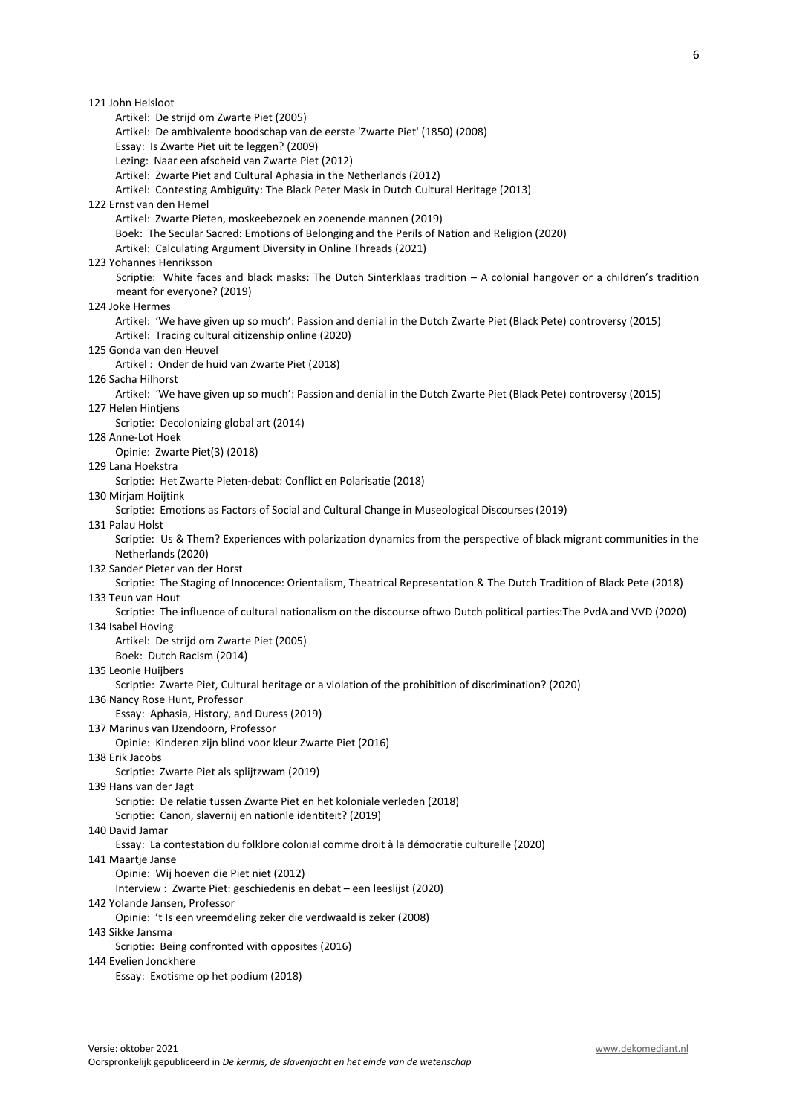| 121 John Helsloot                                                                                                       |
|-------------------------------------------------------------------------------------------------------------------------|
| Artikel: De strijd om Zwarte Piet (2005)                                                                                |
| Artikel: De ambivalente boodschap van de eerste 'Zwarte Piet' (1850) (2008)                                             |
| Essay: Is Zwarte Piet uit te leggen? (2009)                                                                             |
| Lezing: Naar een afscheid van Zwarte Piet (2012)                                                                        |
| Artikel: Zwarte Piet and Cultural Aphasia in the Netherlands (2012)                                                     |
| Artikel: Contesting Ambiguïty: The Black Peter Mask in Dutch Cultural Heritage (2013)                                   |
| 122 Ernst van den Hemel                                                                                                 |
| Artikel: Zwarte Pieten, moskeebezoek en zoenende mannen (2019)                                                          |
| Boek: The Secular Sacred: Emotions of Belonging and the Perils of Nation and Religion (2020)                            |
| Artikel: Calculating Argument Diversity in Online Threads (2021)                                                        |
| 123 Yohannes Henriksson                                                                                                 |
| Scriptie: White faces and black masks: The Dutch Sinterklaas tradition - A colonial hangover or a children's tradition  |
| meant for everyone? (2019)<br>124 Joke Hermes                                                                           |
| Artikel: 'We have given up so much': Passion and denial in the Dutch Zwarte Piet (Black Pete) controversy (2015)        |
| Artikel: Tracing cultural citizenship online (2020)                                                                     |
| 125 Gonda van den Heuvel                                                                                                |
| Artikel: Onder de huid van Zwarte Piet (2018)                                                                           |
| 126 Sacha Hilhorst                                                                                                      |
| Artikel: 'We have given up so much': Passion and denial in the Dutch Zwarte Piet (Black Pete) controversy (2015)        |
| 127 Helen Hintjens                                                                                                      |
| Scriptie: Decolonizing global art (2014)                                                                                |
| 128 Anne-Lot Hoek                                                                                                       |
| Opinie: Zwarte Piet(3) (2018)                                                                                           |
| 129 Lana Hoekstra                                                                                                       |
| Scriptie: Het Zwarte Pieten-debat: Conflict en Polarisatie (2018)                                                       |
| 130 Mirjam Hoijtink                                                                                                     |
| Scriptie: Emotions as Factors of Social and Cultural Change in Museological Discourses (2019)                           |
| 131 Palau Holst                                                                                                         |
| Scriptie: Us & Them? Experiences with polarization dynamics from the perspective of black migrant communities in the    |
| Netherlands (2020)                                                                                                      |
| 132 Sander Pieter van der Horst                                                                                         |
| Scriptie: The Staging of Innocence: Orientalism, Theatrical Representation & The Dutch Tradition of Black Pete (2018)   |
| 133 Teun van Hout                                                                                                       |
| Scriptie: The influence of cultural nationalism on the discourse oftwo Dutch political parties: The PvdA and VVD (2020) |
| 134 Isabel Hoving                                                                                                       |
| Artikel: De strijd om Zwarte Piet (2005)                                                                                |
| Boek: Dutch Racism (2014)<br>135 Leonie Huijbers                                                                        |
| Scriptie: Zwarte Piet, Cultural heritage or a violation of the prohibition of discrimination? (2020)                    |
| 136 Nancy Rose Hunt, Professor                                                                                          |
| Essay: Aphasia, History, and Duress (2019)                                                                              |
| 137 Marinus van IJzendoorn, Professor                                                                                   |
| Opinie: Kinderen zijn blind voor kleur Zwarte Piet (2016)                                                               |
| 138 Erik Jacobs                                                                                                         |
| Scriptie: Zwarte Piet als splijtzwam (2019)                                                                             |
| 139 Hans van der Jagt                                                                                                   |
| Scriptie: De relatie tussen Zwarte Piet en het koloniale verleden (2018)                                                |
| Scriptie: Canon, slavernij en nationle identiteit? (2019)                                                               |
| 140 David Jamar                                                                                                         |
| Essay: La contestation du folklore colonial comme droit à la démocratie culturelle (2020)                               |
| 141 Maartje Janse                                                                                                       |
| Opinie: Wij hoeven die Piet niet (2012)                                                                                 |
| Interview : Zwarte Piet: geschiedenis en debat - een leeslijst (2020)                                                   |
| 142 Yolande Jansen, Professor                                                                                           |
| Opinie: 't Is een vreemdeling zeker die verdwaald is zeker (2008)                                                       |
| 143 Sikke Jansma                                                                                                        |
| Scriptie: Being confronted with opposites (2016)                                                                        |
| 144 Evelien Jonckhere                                                                                                   |
| Essay: Exotisme op het podium (2018)                                                                                    |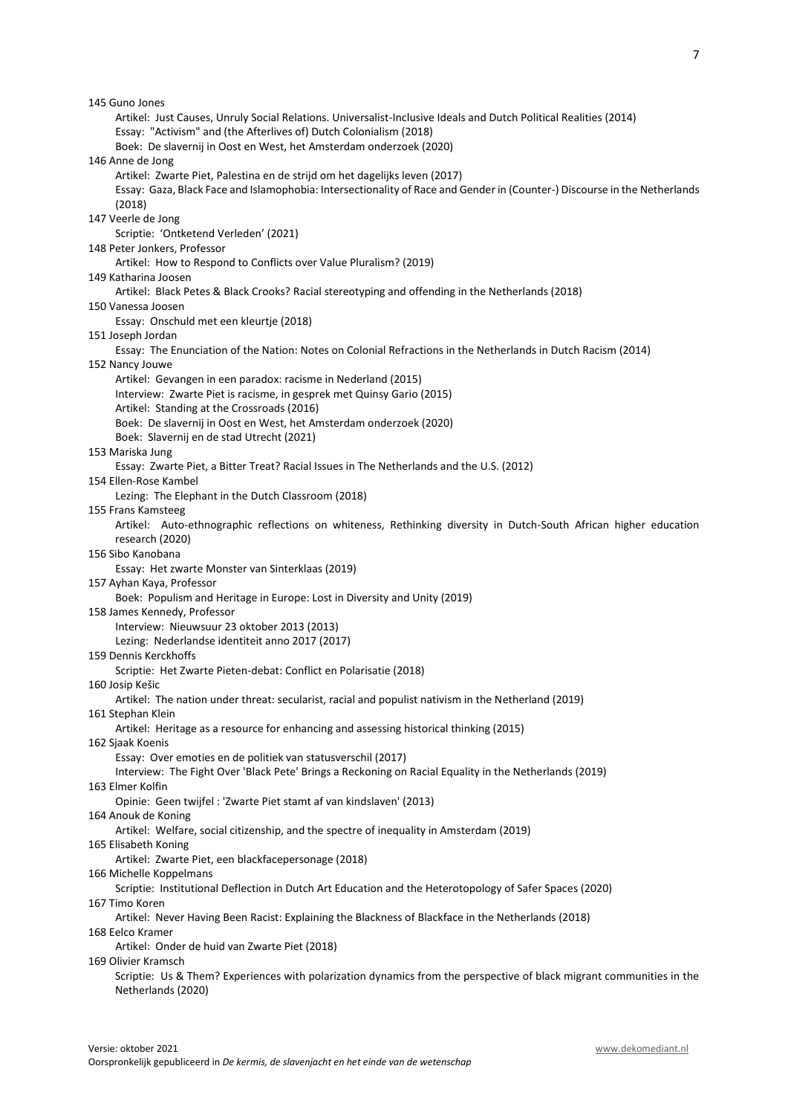145 Guno Jones Artikel: Just Causes, Unruly Social Relations. Universalist-Inclusive Ideals and Dutch Political Realities (2014) Essay: "Activism" and (the Afterlives of) Dutch Colonialism (2018) Boek: De slavernij in Oost en West, het Amsterdam onderzoek (2020) 146 Anne de Jong Artikel: Zwarte Piet, Palestina en de strijd om het dagelijks leven (2017) Essay: Gaza, Black Face and Islamophobia: Intersectionality of Race and Gender in (Counter-) Discourse in the Netherlands (2018) 147 Veerle de Jong Scriptie: 'Ontketend Verleden' (2021) 148 Peter Jonkers, Professor Artikel: How to Respond to Conflicts over Value Pluralism? (2019) 149 Katharina Joosen Artikel: Black Petes & Black Crooks? Racial stereotyping and offending in the Netherlands (2018) 150 Vanessa Joosen Essay: Onschuld met een kleurtje (2018) 151 Joseph Jordan Essay: The Enunciation of the Nation: Notes on Colonial Refractions in the Netherlands in Dutch Racism (2014) 152 Nancy Jouwe Artikel: Gevangen in een paradox: racisme in Nederland (2015) Interview: Zwarte Piet is racisme, in gesprek met Quinsy Gario (2015) Artikel: Standing at the Crossroads (2016) Boek: De slavernij in Oost en West, het Amsterdam onderzoek (2020) Boek: Slavernij en de stad Utrecht (2021) 153 Mariska Jung Essay: Zwarte Piet, a Bitter Treat? Racial Issues in The Netherlands and the U.S. (2012) 154 Ellen-Rose Kambel Lezing: The Elephant in the Dutch Classroom (2018) 155 Frans Kamsteeg Artikel: Auto-ethnographic reflections on whiteness, Rethinking diversity in Dutch-South African higher education research (2020) 156 Sibo Kanobana Essay: Het zwarte Monster van Sinterklaas (2019) 157 Ayhan Kaya, Professor Boek: Populism and Heritage in Europe: Lost in Diversity and Unity (2019) 158 James Kennedy, Professor Interview: Nieuwsuur 23 oktober 2013 (2013) Lezing: Nederlandse identiteit anno 2017 (2017) 159 Dennis Kerckhoffs Scriptie: Het Zwarte Pieten-debat: Conflict en Polarisatie (2018) 160 Josip Kešic Artikel: The nation under threat: secularist, racial and populist nativism in the Netherland (2019) 161 Stephan Klein Artikel: Heritage as a resource for enhancing and assessing historical thinking (2015) 162 Sjaak Koenis Essay: Over emoties en de politiek van statusverschil (2017) Interview: The Fight Over 'Black Pete' Brings a Reckoning on Racial Equality in the Netherlands (2019) 163 Elmer Kolfin Opinie: Geen twijfel : 'Zwarte Piet stamt af van kindslaven' (2013) 164 Anouk de Koning Artikel: Welfare, social citizenship, and the spectre of inequality in Amsterdam (2019) 165 Elisabeth Koning Artikel: Zwarte Piet, een blackfacepersonage (2018) 166 Michelle Koppelmans Scriptie: Institutional Deflection in Dutch Art Education and the Heterotopology of Safer Spaces (2020) 167 Timo Koren Artikel: Never Having Been Racist: Explaining the Blackness of Blackface in the Netherlands (2018) 168 Eelco Kramer Artikel: Onder de huid van Zwarte Piet (2018) 169 Olivier Kramsch Scriptie: Us & Them? Experiences with polarization dynamics from the perspective of black migrant communities in the Netherlands (2020)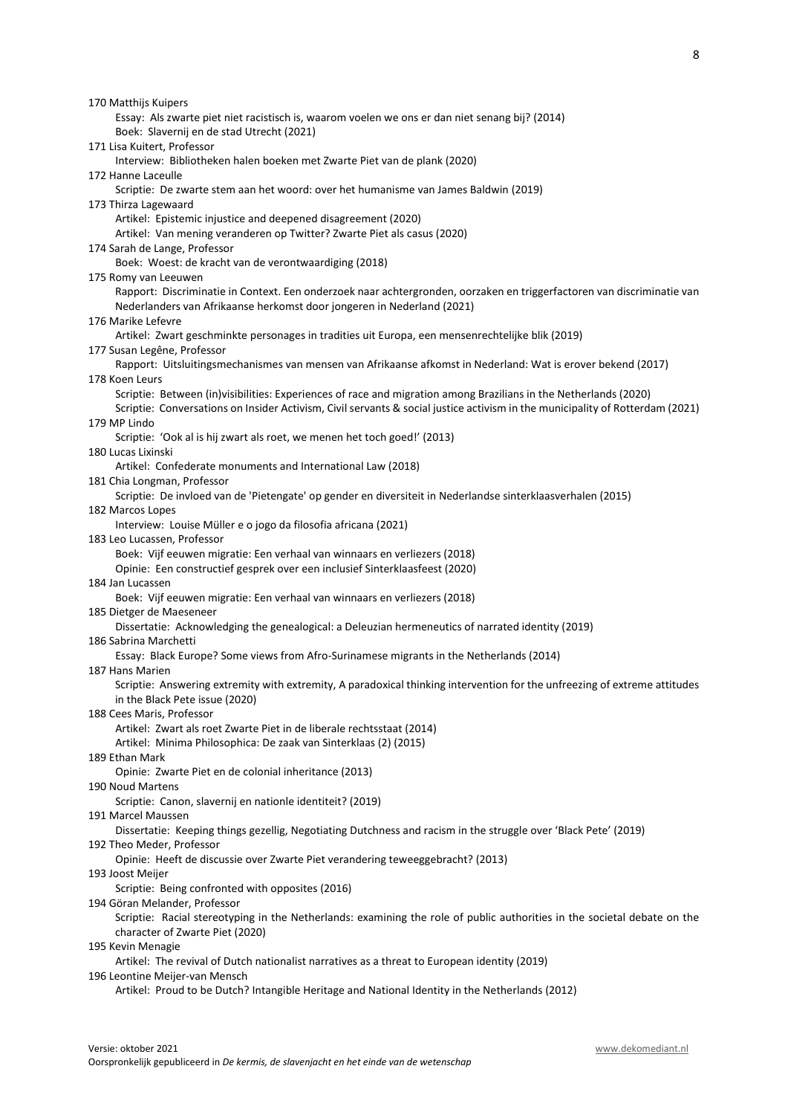170 Matthijs Kuipers Essay: Als zwarte piet niet racistisch is, waarom voelen we ons er dan niet senang bij? (2014) Boek: Slavernij en de stad Utrecht (2021) 171 Lisa Kuitert, Professor Interview: Bibliotheken halen boeken met Zwarte Piet van de plank (2020) 172 Hanne Laceulle Scriptie: De zwarte stem aan het woord: over het humanisme van James Baldwin (2019) 173 Thirza Lagewaard Artikel: Epistemic injustice and deepened disagreement (2020) Artikel: Van mening veranderen op Twitter? Zwarte Piet als casus (2020) 174 Sarah de Lange, Professor Boek: Woest: de kracht van de verontwaardiging (2018) 175 Romy van Leeuwen Rapport: Discriminatie in Context. Een onderzoek naar achtergronden, oorzaken en triggerfactoren van discriminatie van Nederlanders van Afrikaanse herkomst door jongeren in Nederland (2021) 176 Marike Lefevre Artikel: Zwart geschminkte personages in tradities uit Europa, een mensenrechtelijke blik (2019) 177 Susan Legêne, Professor Rapport: Uitsluitingsmechanismes van mensen van Afrikaanse afkomst in Nederland: Wat is erover bekend (2017) 178 Koen Leurs Scriptie: Between (in)visibilities: Experiences of race and migration among Brazilians in the Netherlands (2020) Scriptie: Conversations on Insider Activism, Civil servants & social justice activism in the municipality of Rotterdam (2021) 179 MP Lindo Scriptie: 'Ook al is hij zwart als roet, we menen het toch goed!' (2013) 180 Lucas Lixinski Artikel: Confederate monuments and International Law (2018) 181 Chia Longman, Professor Scriptie: De invloed van de 'Pietengate' op gender en diversiteit in Nederlandse sinterklaasverhalen (2015) 182 Marcos Lopes Interview: Louise Müller e o jogo da filosofia africana (2021) 183 Leo Lucassen, Professor Boek: Vijf eeuwen migratie: Een verhaal van winnaars en verliezers (2018) Opinie: Een constructief gesprek over een inclusief Sinterklaasfeest (2020) 184 Jan Lucassen Boek: Vijf eeuwen migratie: Een verhaal van winnaars en verliezers (2018) 185 Dietger de Maeseneer Dissertatie: Acknowledging the genealogical: a Deleuzian hermeneutics of narrated identity (2019) 186 Sabrina Marchetti Essay: Black Europe? Some views from Afro-Surinamese migrants in the Netherlands (2014) 187 Hans Marien Scriptie: Answering extremity with extremity, A paradoxical thinking intervention for the unfreezing of extreme attitudes in the Black Pete issue (2020) 188 Cees Maris, Professor Artikel: Zwart als roet Zwarte Piet in de liberale rechtsstaat (2014) Artikel: Minima Philosophica: De zaak van Sinterklaas (2) (2015) 189 Ethan Mark Opinie: Zwarte Piet en de colonial inheritance (2013) 190 Noud Martens Scriptie: Canon, slavernij en nationle identiteit? (2019) 191 Marcel Maussen Dissertatie: Keeping things gezellig, Negotiating Dutchness and racism in the struggle over 'Black Pete' (2019) 192 Theo Meder, Professor Opinie: Heeft de discussie over Zwarte Piet verandering teweeggebracht? (2013) 193 Joost Meijer Scriptie: Being confronted with opposites (2016) 194 Göran Melander, Professor Scriptie: Racial stereotyping in the Netherlands: examining the role of public authorities in the societal debate on the character of Zwarte Piet (2020) 195 Kevin Menagie Artikel: The revival of Dutch nationalist narratives as a threat to European identity (2019) 196 Leontine Meijer-van Mensch Artikel: Proud to be Dutch? Intangible Heritage and National Identity in the Netherlands (2012)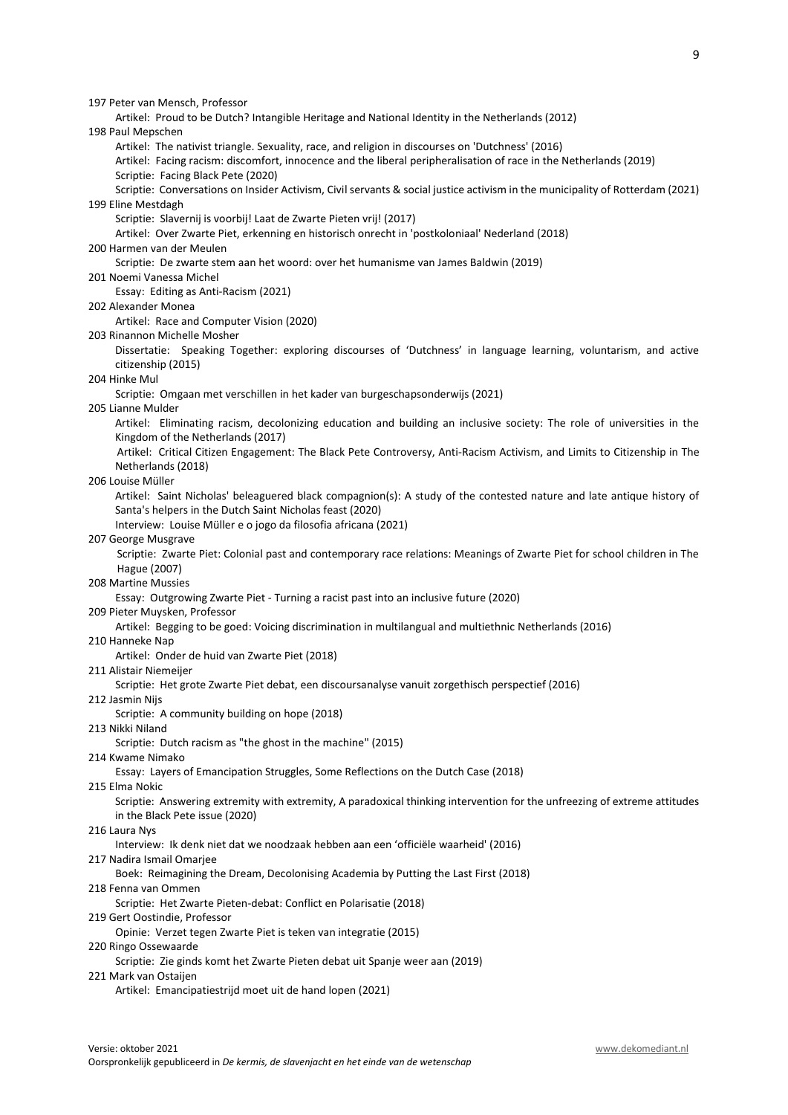198 Paul Mepschen Artikel: The nativist triangle. Sexuality, race, and religion in discourses on 'Dutchness' (2016) Artikel: Facing racism: discomfort, innocence and the liberal peripheralisation of race in the Netherlands (2019) Scriptie: Facing Black Pete (2020) Scriptie: Conversations on Insider Activism, Civil servants & social justice activism in the municipality of Rotterdam (2021) 199 Eline Mestdagh Scriptie: Slavernij is voorbij! Laat de Zwarte Pieten vrij! (2017) Artikel: Over Zwarte Piet, erkenning en historisch onrecht in 'postkoloniaal' Nederland (2018) 200 Harmen van der Meulen Scriptie: De zwarte stem aan het woord: over het humanisme van James Baldwin (2019) 201 Noemi Vanessa Michel Essay: Editing as Anti-Racism (2021) 202 Alexander Monea Artikel: Race and Computer Vision (2020) 203 Rinannon Michelle Mosher Dissertatie: Speaking Together: exploring discourses of 'Dutchness' in language learning, voluntarism, and active citizenship (2015) 204 Hinke Mul Scriptie: Omgaan met verschillen in het kader van burgeschapsonderwijs (2021) 205 Lianne Mulder Artikel: Eliminating racism, decolonizing education and building an inclusive society: The role of universities in the Kingdom of the Netherlands (2017) Artikel: Critical Citizen Engagement: The Black Pete Controversy, Anti-Racism Activism, and Limits to Citizenship in The Netherlands (2018) 206 Louise Müller Artikel: Saint Nicholas' beleaguered black compagnion(s): A study of the contested nature and late antique history of Santa's helpers in the Dutch Saint Nicholas feast (2020) Interview: Louise Müller e o jogo da filosofia africana (2021) 207 George Musgrave Scriptie: Zwarte Piet: Colonial past and contemporary race relations: Meanings of Zwarte Piet for school children in The Hague (2007) 208 Martine Mussies Essay: Outgrowing Zwarte Piet - Turning a racist past into an inclusive future (2020) 209 Pieter Muysken, Professor Artikel: Begging to be goed: Voicing discrimination in multilangual and multiethnic Netherlands (2016) 210 Hanneke Nap Artikel: Onder de huid van Zwarte Piet (2018) 211 Alistair Niemeijer Scriptie: Het grote Zwarte Piet debat, een discoursanalyse vanuit zorgethisch perspectief (2016) 212 Jasmin Nijs Scriptie: A community building on hope (2018) 213 Nikki Niland Scriptie: Dutch racism as "the ghost in the machine" (2015) 214 Kwame Nimako Essay: Layers of Emancipation Struggles, Some Reflections on the Dutch Case (2018) 215 Elma Nokic Scriptie: Answering extremity with extremity, A paradoxical thinking intervention for the unfreezing of extreme attitudes in the Black Pete issue (2020) 216 Laura Nys Interview: Ik denk niet dat we noodzaak hebben aan een 'officiële waarheid' (2016) 217 Nadira Ismail Omarjee Boek: Reimagining the Dream, Decolonising Academia by Putting the Last First (2018) 218 Fenna van Ommen Scriptie: Het Zwarte Pieten-debat: Conflict en Polarisatie (2018) 219 Gert Oostindie, Professor Opinie: Verzet tegen Zwarte Piet is teken van integratie (2015) 220 Ringo Ossewaarde Scriptie: Zie ginds komt het Zwarte Pieten debat uit Spanje weer aan (2019) 221 Mark van Ostaijen Artikel: Emancipatiestrijd moet uit de hand lopen (2021)

Artikel: Proud to be Dutch? Intangible Heritage and National Identity in the Netherlands (2012)

197 Peter van Mensch, Professor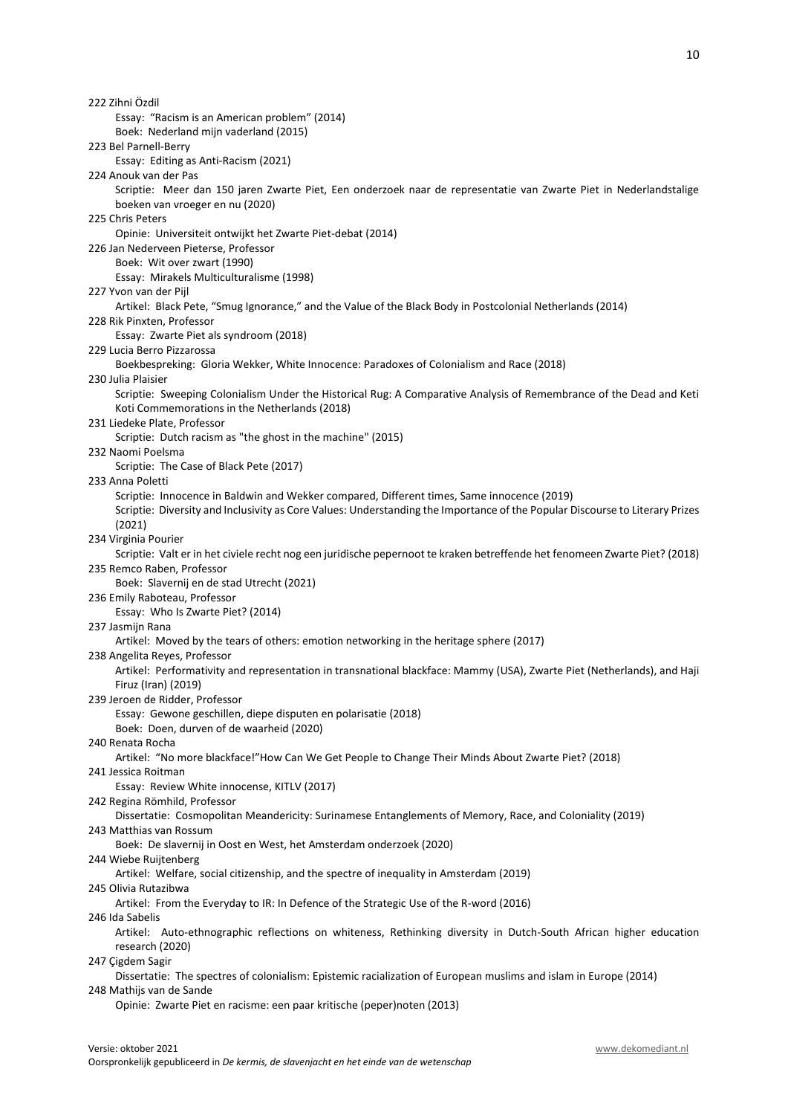Essay: "Racism is an American problem" (2014) Boek: Nederland mijn vaderland (2015) 223 Bel Parnell-Berry Essay: Editing as Anti-Racism (2021) 224 Anouk van der Pas Scriptie: Meer dan 150 jaren Zwarte Piet, Een onderzoek naar de representatie van Zwarte Piet in Nederlandstalige boeken van vroeger en nu (2020) 225 Chris Peters Opinie: Universiteit ontwijkt het Zwarte Piet-debat (2014) 226 Jan Nederveen Pieterse, Professor Boek: Wit over zwart (1990) Essay: Mirakels Multiculturalisme (1998) 227 Yvon van der Pijl Artikel: Black Pete, "Smug Ignorance," and the Value of the Black Body in Postcolonial Netherlands (2014) 228 Rik Pinxten, Professor Essay: Zwarte Piet als syndroom (2018) 229 Lucia Berro Pizzarossa Boekbespreking: Gloria Wekker, White Innocence: Paradoxes of Colonialism and Race (2018) 230 Julia Plaisier Scriptie: Sweeping Colonialism Under the Historical Rug: A Comparative Analysis of Remembrance of the Dead and Keti Koti Commemorations in the Netherlands (2018) 231 Liedeke Plate, Professor Scriptie: Dutch racism as "the ghost in the machine" (2015) 232 Naomi Poelsma Scriptie: The Case of Black Pete (2017) 233 Anna Poletti Scriptie: Innocence in Baldwin and Wekker compared, Different times, Same innocence (2019) Scriptie: Diversity and Inclusivity as Core Values: Understanding the Importance of the Popular Discourse to Literary Prizes (2021) 234 Virginia Pourier Scriptie: Valt er in het civiele recht nog een juridische pepernoot te kraken betreffende het fenomeen Zwarte Piet? (2018) 235 Remco Raben, Professor Boek: Slavernij en de stad Utrecht (2021) 236 Emily Raboteau, Professor Essay: Who Is Zwarte Piet? (2014) 237 Jasmijn Rana Artikel: Moved by the tears of others: emotion networking in the heritage sphere (2017) 238 Angelita Reyes, Professor Artikel: Performativity and representation in transnational blackface: Mammy (USA), Zwarte Piet (Netherlands), and Haji Firuz (Iran) (2019) 239 Jeroen de Ridder, Professor Essay: Gewone geschillen, diepe disputen en polarisatie (2018) Boek: Doen, durven of de waarheid (2020) 240 Renata Rocha Artikel: "No more blackface!"How Can We Get People to Change Their Minds About Zwarte Piet? (2018) 241 Jessica Roitman Essay: Review White innocense, KITLV (2017) 242 Regina Römhild, Professor Dissertatie: Cosmopolitan Meandericity: Surinamese Entanglements of Memory, Race, and Coloniality (2019) 243 Matthias van Rossum Boek: De slavernij in Oost en West, het Amsterdam onderzoek (2020) 244 Wiebe Ruijtenberg Artikel: Welfare, social citizenship, and the spectre of inequality in Amsterdam (2019) 245 Olivia Rutazibwa Artikel: From the Everyday to IR: In Defence of the Strategic Use of the R-word (2016) 246 Ida Sabelis Artikel: Auto-ethnographic reflections on whiteness, Rethinking diversity in Dutch-South African higher education research (2020) 247 Çigdem Sagir Dissertatie: The spectres of colonialism: Epistemic racialization of European muslims and islam in Europe (2014) 248 Mathijs van de Sande

Opinie: Zwarte Piet en racisme: een paar kritische (peper)noten (2013)

222 Zihni Özdil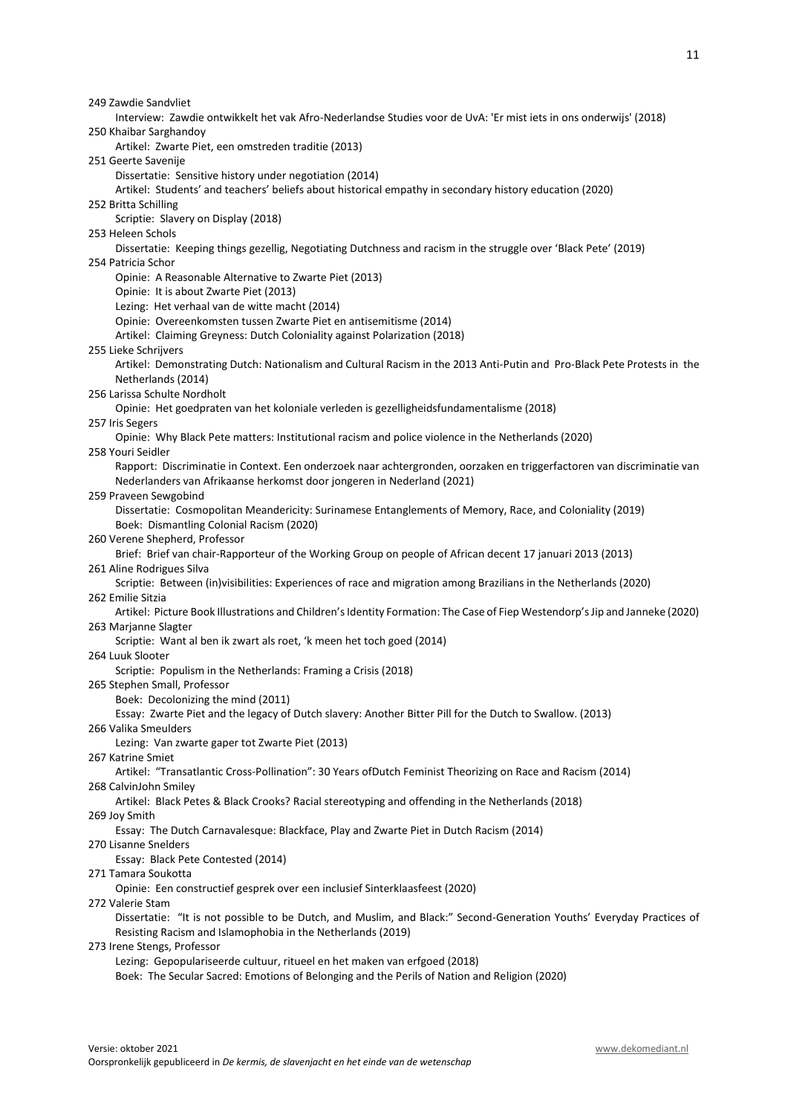249 Zawdie Sandvliet Interview: Zawdie ontwikkelt het vak Afro-Nederlandse Studies voor de UvA: 'Er mist iets in ons onderwijs' (2018) 250 Khaibar Sarghandoy Artikel: Zwarte Piet, een omstreden traditie (2013) 251 Geerte Savenije Dissertatie: Sensitive history under negotiation (2014) Artikel: Students' and teachers' beliefs about historical empathy in secondary history education (2020) 252 Britta Schilling Scriptie: Slavery on Display (2018) 253 Heleen Schols Dissertatie: Keeping things gezellig, Negotiating Dutchness and racism in the struggle over 'Black Pete' (2019) 254 Patricia Schor Opinie: A Reasonable Alternative to Zwarte Piet (2013) Opinie: It is about Zwarte Piet (2013) Lezing: Het verhaal van de witte macht (2014) Opinie: Overeenkomsten tussen Zwarte Piet en antisemitisme (2014) Artikel: Claiming Greyness: Dutch Coloniality against Polarization (2018) 255 Lieke Schrijvers Artikel: Demonstrating Dutch: Nationalism and Cultural Racism in the 2013 Anti-Putin and Pro-Black Pete Protests in the Netherlands (2014) 256 Larissa Schulte Nordholt Opinie: Het goedpraten van het koloniale verleden is gezelligheidsfundamentalisme (2018) 257 Iris Segers Opinie: Why Black Pete matters: Institutional racism and police violence in the Netherlands (2020) 258 Youri Seidler Rapport: Discriminatie in Context. Een onderzoek naar achtergronden, oorzaken en triggerfactoren van discriminatie van Nederlanders van Afrikaanse herkomst door jongeren in Nederland (2021) 259 Praveen Sewgobind Dissertatie: Cosmopolitan Meandericity: Surinamese Entanglements of Memory, Race, and Coloniality (2019) Boek: Dismantling Colonial Racism (2020) 260 Verene Shepherd, Professor Brief: Brief van chair-Rapporteur of the Working Group on people of African decent 17 januari 2013 (2013) 261 Aline Rodrigues Silva Scriptie: Between (in)visibilities: Experiences of race and migration among Brazilians in the Netherlands (2020) 262 Emilie Sitzia Artikel: Picture Book Illustrations and Children's Identity Formation: The Case of Fiep Westendorp's Jip and Janneke (2020) 263 Marjanne Slagter Scriptie: Want al ben ik zwart als roet, 'k meen het toch goed (2014) 264 Luuk Slooter Scriptie: Populism in the Netherlands: Framing a Crisis (2018) 265 Stephen Small, Professor Boek: Decolonizing the mind (2011) Essay: Zwarte Piet and the legacy of Dutch slavery: Another Bitter Pill for the Dutch to Swallow. (2013) 266 Valika Smeulders Lezing: Van zwarte gaper tot Zwarte Piet (2013) 267 Katrine Smiet Artikel: "Transatlantic Cross-Pollination": 30 Years ofDutch Feminist Theorizing on Race and Racism (2014) 268 CalvinJohn Smiley Artikel: Black Petes & Black Crooks? Racial stereotyping and offending in the Netherlands (2018) 269 Joy Smith Essay: The Dutch Carnavalesque: Blackface, Play and Zwarte Piet in Dutch Racism (2014) 270 Lisanne Snelders Essay: Black Pete Contested (2014) 271 Tamara Soukotta Opinie: Een constructief gesprek over een inclusief Sinterklaasfeest (2020) 272 Valerie Stam Dissertatie: "It is not possible to be Dutch, and Muslim, and Black:" Second-Generation Youths' Everyday Practices of Resisting Racism and Islamophobia in the Netherlands (2019) 273 Irene Stengs, Professor Lezing: Gepopulariseerde cultuur, ritueel en het maken van erfgoed (2018) Boek: The Secular Sacred: Emotions of Belonging and the Perils of Nation and Religion (2020)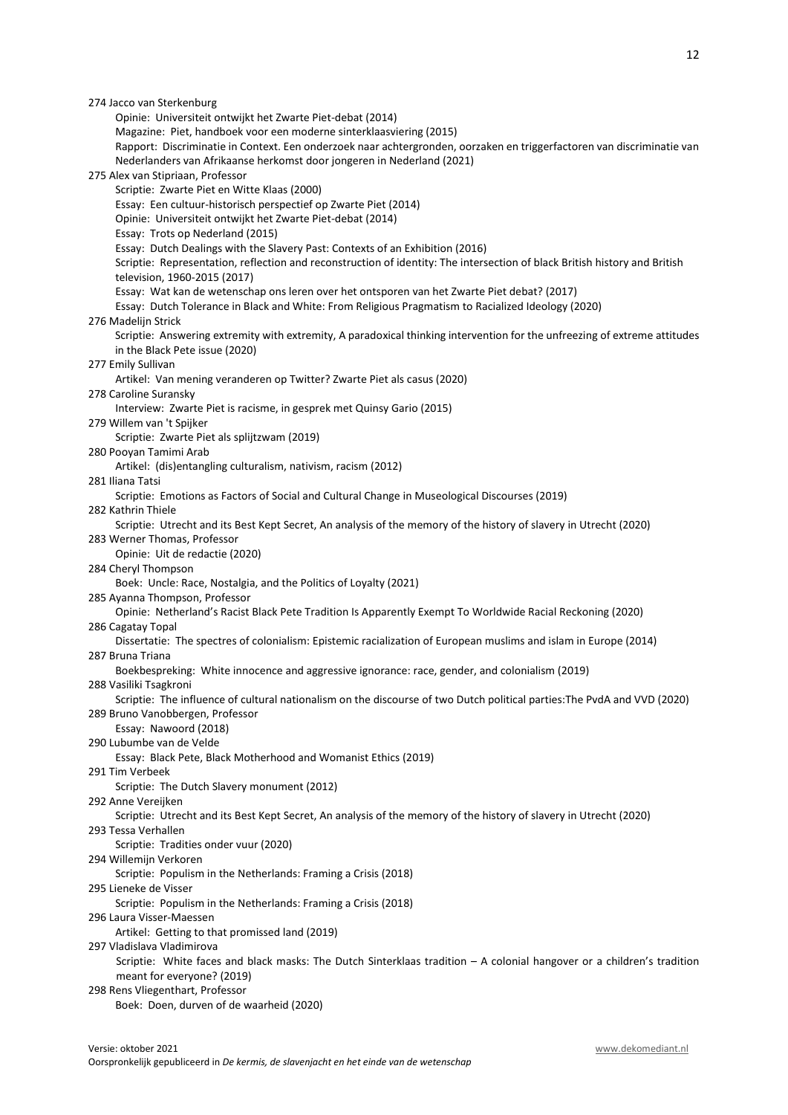| 274 Jacco van Sterkenburg                                                                                                  |
|----------------------------------------------------------------------------------------------------------------------------|
| Opinie: Universiteit ontwijkt het Zwarte Piet-debat (2014)                                                                 |
| Magazine: Piet, handboek voor een moderne sinterklaasviering (2015)                                                        |
| Rapport: Discriminatie in Context. Een onderzoek naar achtergronden, oorzaken en triggerfactoren van discriminatie van     |
| Nederlanders van Afrikaanse herkomst door jongeren in Nederland (2021)                                                     |
| 275 Alex van Stipriaan, Professor                                                                                          |
| Scriptie: Zwarte Piet en Witte Klaas (2000)                                                                                |
| Essay: Een cultuur-historisch perspectief op Zwarte Piet (2014)                                                            |
| Opinie: Universiteit ontwijkt het Zwarte Piet-debat (2014)                                                                 |
| Essay: Trots op Nederland (2015)                                                                                           |
| Essay: Dutch Dealings with the Slavery Past: Contexts of an Exhibition (2016)                                              |
| Scriptie: Representation, reflection and reconstruction of identity: The intersection of black British history and British |
| television, 1960-2015 (2017)                                                                                               |
| Essay: Wat kan de wetenschap ons leren over het ontsporen van het Zwarte Piet debat? (2017)                                |
| Essay: Dutch Tolerance in Black and White: From Religious Pragmatism to Racialized Ideology (2020)                         |
| 276 Madelijn Strick                                                                                                        |
| Scriptie: Answering extremity with extremity, A paradoxical thinking intervention for the unfreezing of extreme attitudes  |
| in the Black Pete issue (2020)                                                                                             |
| 277 Emily Sullivan                                                                                                         |
| Artikel: Van mening veranderen op Twitter? Zwarte Piet als casus (2020)<br>278 Caroline Suransky                           |
| Interview: Zwarte Piet is racisme, in gesprek met Quinsy Gario (2015)                                                      |
| 279 Willem van 't Spijker                                                                                                  |
| Scriptie: Zwarte Piet als splijtzwam (2019)                                                                                |
| 280 Pooyan Tamimi Arab                                                                                                     |
| Artikel: (dis)entangling culturalism, nativism, racism (2012)                                                              |
| 281 Iliana Tatsi                                                                                                           |
| Scriptie: Emotions as Factors of Social and Cultural Change in Museological Discourses (2019)                              |
| 282 Kathrin Thiele                                                                                                         |
| Scriptie: Utrecht and its Best Kept Secret, An analysis of the memory of the history of slavery in Utrecht (2020)          |
| 283 Werner Thomas, Professor                                                                                               |
| Opinie: Uit de redactie (2020)                                                                                             |
| 284 Cheryl Thompson                                                                                                        |
| Boek: Uncle: Race, Nostalgia, and the Politics of Loyalty (2021)                                                           |
| 285 Ayanna Thompson, Professor                                                                                             |
| Opinie: Netherland's Racist Black Pete Tradition Is Apparently Exempt To Worldwide Racial Reckoning (2020)                 |
| 286 Cagatay Topal                                                                                                          |
| Dissertatie: The spectres of colonialism: Epistemic racialization of European muslims and islam in Europe (2014)           |
| 287 Bruna Triana                                                                                                           |
| Boekbespreking: White innocence and aggressive ignorance: race, gender, and colonialism (2019)                             |
| 288 Vasiliki Tsagkroni                                                                                                     |
| Scriptie: The influence of cultural nationalism on the discourse of two Dutch political parties: The PvdA and VVD (2020)   |
| 289 Bruno Vanobbergen, Professor<br>Essay: Nawoord (2018)                                                                  |
| 290 Lubumbe van de Velde                                                                                                   |
| Essay: Black Pete, Black Motherhood and Womanist Ethics (2019)                                                             |
| 291 Tim Verbeek                                                                                                            |
| Scriptie: The Dutch Slavery monument (2012)                                                                                |
| 292 Anne Vereijken                                                                                                         |
| Scriptie: Utrecht and its Best Kept Secret, An analysis of the memory of the history of slavery in Utrecht (2020)          |
| 293 Tessa Verhallen                                                                                                        |
| Scriptie: Tradities onder vuur (2020)                                                                                      |
| 294 Willemijn Verkoren                                                                                                     |
| Scriptie: Populism in the Netherlands: Framing a Crisis (2018)                                                             |
| 295 Lieneke de Visser                                                                                                      |
| Scriptie: Populism in the Netherlands: Framing a Crisis (2018)                                                             |
| 296 Laura Visser-Maessen                                                                                                   |
| Artikel: Getting to that promissed land (2019)                                                                             |
| 297 Vladislava Vladimirova                                                                                                 |
| Scriptie: White faces and black masks: The Dutch Sinterklaas tradition - A colonial hangover or a children's tradition     |
| meant for everyone? (2019)                                                                                                 |
| 298 Rens Vliegenthart, Professor                                                                                           |

Boek: Doen, durven of de waarheid (2020)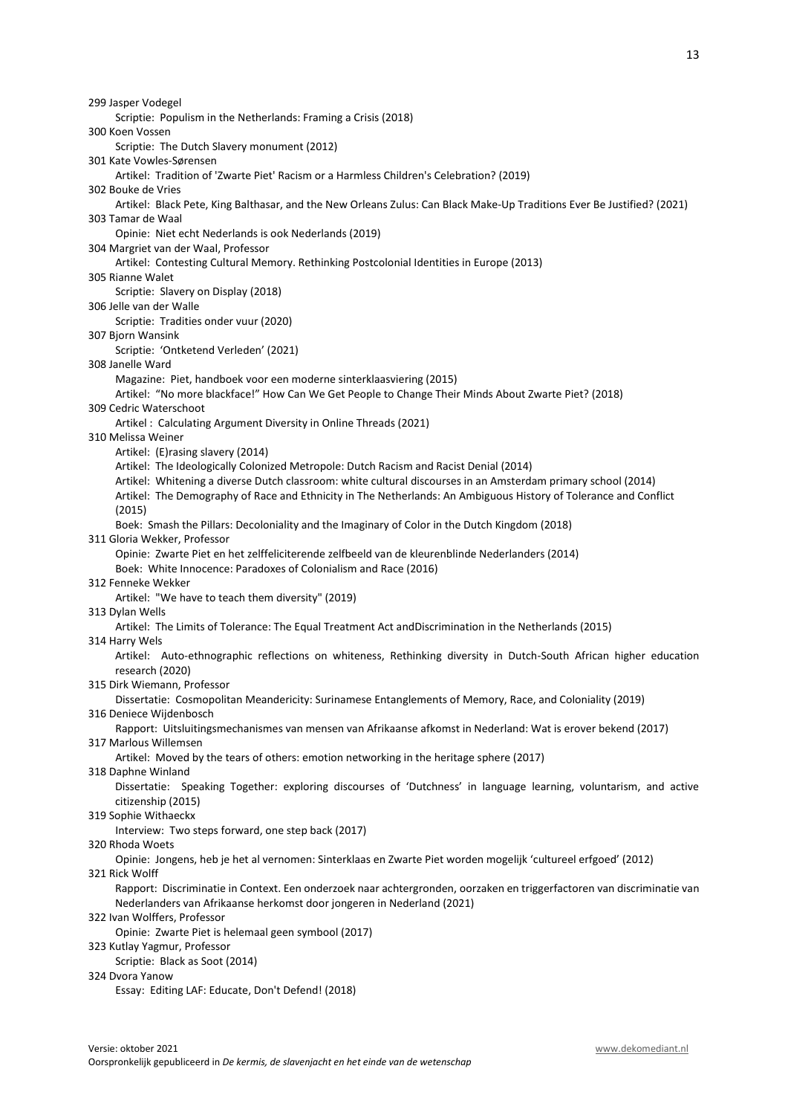Scriptie: Populism in the Netherlands: Framing a Crisis (2018)

300 Koen Vossen

Scriptie: The Dutch Slavery monument (2012)

301 Kate Vowles-Sørensen

Artikel: Tradition of 'Zwarte Piet' Racism or a Harmless Children's Celebration? (2019)

302 Bouke de Vries

 Artikel: Black Pete, King Balthasar, and the New Orleans Zulus: Can Black Make-Up Traditions Ever Be Justified? (2021) 303 Tamar de Waal

Opinie: Niet echt Nederlands is ook Nederlands (2019)

304 Margriet van der Waal, Professor

Artikel: Contesting Cultural Memory. Rethinking Postcolonial Identities in Europe (2013)

305 Rianne Walet

Scriptie: Slavery on Display (2018)

306 Jelle van der Walle

Scriptie: Tradities onder vuur (2020)

## 307 Bjorn Wansink

Scriptie: 'Ontketend Verleden' (2021)

# 308 Janelle Ward

Magazine: Piet, handboek voor een moderne sinterklaasviering (2015)

 Artikel: "No more blackface!" How Can We Get People to Change Their Minds About Zwarte Piet? (2018) 309 Cedric Waterschoot

Artikel : Calculating Argument Diversity in Online Threads (2021)

#### 310 Melissa Weiner

Artikel: (E)rasing slavery (2014)

Artikel: The Ideologically Colonized Metropole: Dutch Racism and Racist Denial (2014)

Artikel: Whitening a diverse Dutch classroom: white cultural discourses in an Amsterdam primary school (2014)

 Artikel: The Demography of Race and Ethnicity in The Netherlands: An Ambiguous History of Tolerance and Conflict (2015)

Boek: Smash the Pillars: Decoloniality and the Imaginary of Color in the Dutch Kingdom (2018)

#### 311 Gloria Wekker, Professor

Opinie: Zwarte Piet en het zelffeliciterende zelfbeeld van de kleurenblinde Nederlanders (2014)

Boek: White Innocence: Paradoxes of Colonialism and Race (2016)

312 Fenneke Wekker

Artikel: "We have to teach them diversity" (2019)

## 313 Dylan Wells

Artikel: The Limits of Tolerance: The Equal Treatment Act andDiscrimination in the Netherlands (2015)

#### 314 Harry Wels

Artikel: Auto-ethnographic reflections on whiteness, Rethinking diversity in Dutch-South African higher education research (2020)

315 Dirk Wiemann, Professor

Dissertatie: Cosmopolitan Meandericity: Surinamese Entanglements of Memory, Race, and Coloniality (2019)

316 Deniece Wijdenbosch

Rapport: Uitsluitingsmechanismes van mensen van Afrikaanse afkomst in Nederland: Wat is erover bekend (2017)

317 Marlous Willemsen

Artikel: Moved by the tears of others: emotion networking in the heritage sphere (2017)

318 Daphne Winland

Dissertatie: Speaking Together: exploring discourses of 'Dutchness' in language learning, voluntarism, and active citizenship (2015)

319 Sophie Withaeckx

Interview: Two steps forward, one step back (2017)

### 320 Rhoda Woets

Opinie: Jongens, heb je het al vernomen: Sinterklaas en Zwarte Piet worden mogelijk 'cultureel erfgoed' (2012)

#### 321 Rick Wolff

Rapport: Discriminatie in Context. Een onderzoek naar achtergronden, oorzaken en triggerfactoren van discriminatie van Nederlanders van Afrikaanse herkomst door jongeren in Nederland (2021)

#### 322 Ivan Wolffers, Professor

Opinie: Zwarte Piet is helemaal geen symbool (2017)

323 Kutlay Yagmur, Professor

Scriptie: Black as Soot (2014)

#### 324 Dvora Yanow

Essay: Editing LAF: Educate, Don't Defend! (2018)